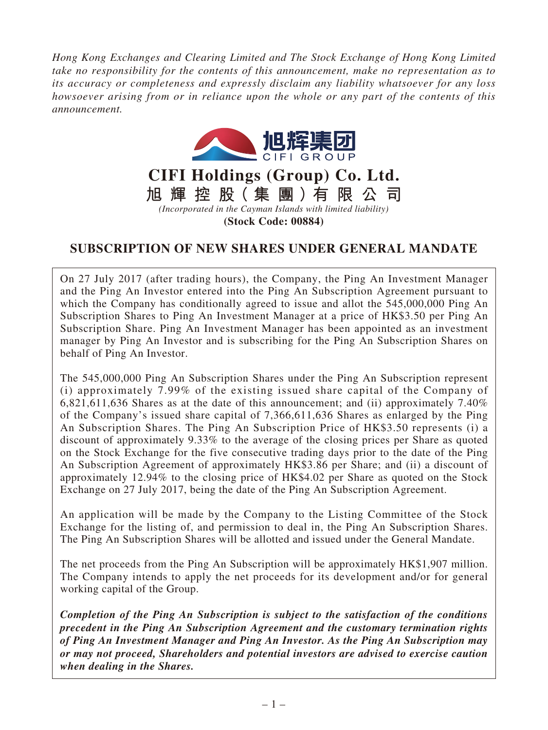*Hong Kong Exchanges and Clearing Limited and The Stock Exchange of Hong Kong Limited take no responsibility for the contents of this announcement, make no representation as to its accuracy or completeness and expressly disclaim any liability whatsoever for any loss howsoever arising from or in reliance upon the whole or any part of the contents of this announcement.*



**CIFI Holdings (Group) Co. Ltd. 旭 輝 控 股( 集 團 )有 限 公 司**

*(Incorporated in the Cayman Islands with limited liability)* **(Stock Code: 00884)**

# **SUBSCRIPTION OF NEW SHARES UNDER GENERAL MANDATE**

On 27 July 2017 (after trading hours), the Company, the Ping An Investment Manager and the Ping An Investor entered into the Ping An Subscription Agreement pursuant to which the Company has conditionally agreed to issue and allot the 545,000,000 Ping An Subscription Shares to Ping An Investment Manager at a price of HK\$3.50 per Ping An Subscription Share. Ping An Investment Manager has been appointed as an investment manager by Ping An Investor and is subscribing for the Ping An Subscription Shares on behalf of Ping An Investor.

The 545,000,000 Ping An Subscription Shares under the Ping An Subscription represent (i) approximately 7.99% of the existing issued share capital of the Company of 6,821,611,636 Shares as at the date of this announcement; and (ii) approximately 7.40% of the Company's issued share capital of 7,366,611,636 Shares as enlarged by the Ping An Subscription Shares. The Ping An Subscription Price of HK\$3.50 represents (i) a discount of approximately 9.33% to the average of the closing prices per Share as quoted on the Stock Exchange for the five consecutive trading days prior to the date of the Ping An Subscription Agreement of approximately HK\$3.86 per Share; and (ii) a discount of approximately 12.94% to the closing price of HK\$4.02 per Share as quoted on the Stock Exchange on 27 July 2017, being the date of the Ping An Subscription Agreement.

An application will be made by the Company to the Listing Committee of the Stock Exchange for the listing of, and permission to deal in, the Ping An Subscription Shares. The Ping An Subscription Shares will be allotted and issued under the General Mandate.

The net proceeds from the Ping An Subscription will be approximately HK\$1,907 million. The Company intends to apply the net proceeds for its development and/or for general working capital of the Group.

*Completion of the Ping An Subscription is subject to the satisfaction of the conditions precedent in the Ping An Subscription Agreement and the customary termination rights of Ping An Investment Manager and Ping An Investor. As the Ping An Subscription may or may not proceed, Shareholders and potential investors are advised to exercise caution when dealing in the Shares.*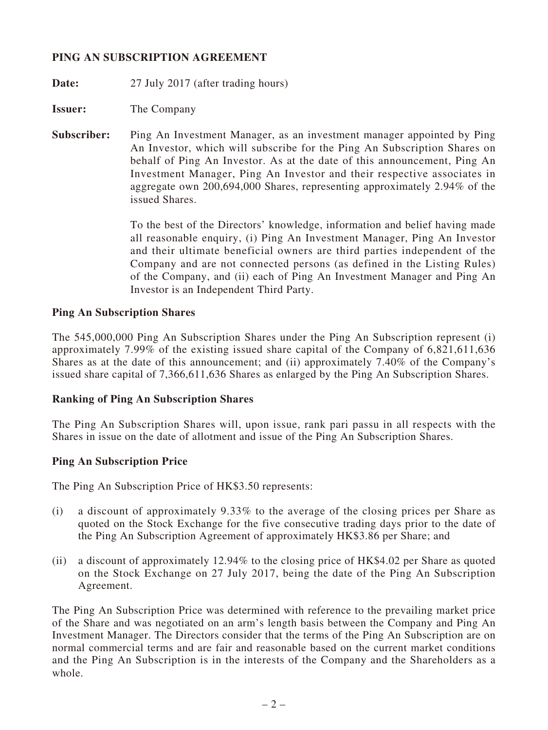# **PING AN SUBSCRIPTION AGREEMENT**

**Date:** 27 July 2017 (after trading hours)

**Issuer:** The Company

**Subscriber:** Ping An Investment Manager, as an investment manager appointed by Ping An Investor, which will subscribe for the Ping An Subscription Shares on behalf of Ping An Investor. As at the date of this announcement, Ping An Investment Manager, Ping An Investor and their respective associates in aggregate own 200,694,000 Shares, representing approximately 2.94% of the issued Shares.

> To the best of the Directors' knowledge, information and belief having made all reasonable enquiry, (i) Ping An Investment Manager, Ping An Investor and their ultimate beneficial owners are third parties independent of the Company and are not connected persons (as defined in the Listing Rules) of the Company, and (ii) each of Ping An Investment Manager and Ping An Investor is an Independent Third Party.

#### **Ping An Subscription Shares**

The 545,000,000 Ping An Subscription Shares under the Ping An Subscription represent (i) approximately 7.99% of the existing issued share capital of the Company of 6,821,611,636 Shares as at the date of this announcement; and (ii) approximately 7.40% of the Company's issued share capital of 7,366,611,636 Shares as enlarged by the Ping An Subscription Shares.

#### **Ranking of Ping An Subscription Shares**

The Ping An Subscription Shares will, upon issue, rank pari passu in all respects with the Shares in issue on the date of allotment and issue of the Ping An Subscription Shares.

# **Ping An Subscription Price**

The Ping An Subscription Price of HK\$3.50 represents:

- (i) a discount of approximately 9.33% to the average of the closing prices per Share as quoted on the Stock Exchange for the five consecutive trading days prior to the date of the Ping An Subscription Agreement of approximately HK\$3.86 per Share; and
- (ii) a discount of approximately 12.94% to the closing price of HK\$4.02 per Share as quoted on the Stock Exchange on 27 July 2017, being the date of the Ping An Subscription Agreement.

The Ping An Subscription Price was determined with reference to the prevailing market price of the Share and was negotiated on an arm's length basis between the Company and Ping An Investment Manager. The Directors consider that the terms of the Ping An Subscription are on normal commercial terms and are fair and reasonable based on the current market conditions and the Ping An Subscription is in the interests of the Company and the Shareholders as a whole.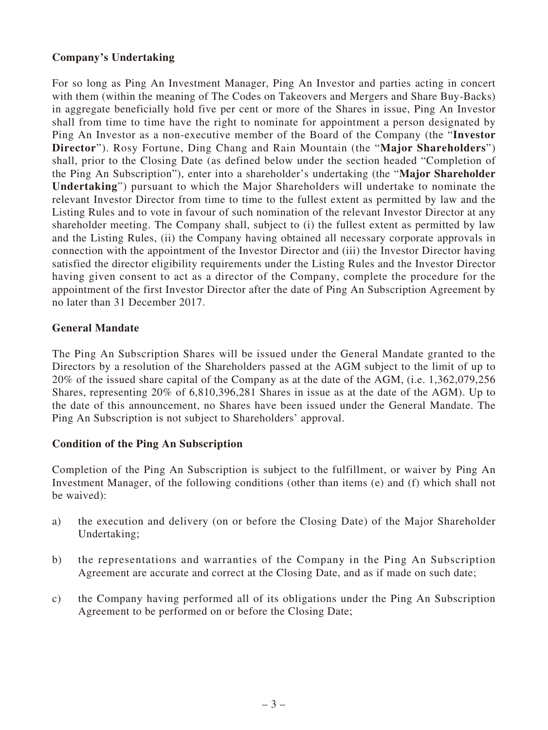# **Company's Undertaking**

For so long as Ping An Investment Manager, Ping An Investor and parties acting in concert with them (within the meaning of The Codes on Takeovers and Mergers and Share Buy-Backs) in aggregate beneficially hold five per cent or more of the Shares in issue, Ping An Investor shall from time to time have the right to nominate for appointment a person designated by Ping An Investor as a non-executive member of the Board of the Company (the "**Investor Director**"). Rosy Fortune, Ding Chang and Rain Mountain (the "**Major Shareholders**") shall, prior to the Closing Date (as defined below under the section headed "Completion of the Ping An Subscription"), enter into a shareholder's undertaking (the "**Major Shareholder Undertaking**") pursuant to which the Major Shareholders will undertake to nominate the relevant Investor Director from time to time to the fullest extent as permitted by law and the Listing Rules and to vote in favour of such nomination of the relevant Investor Director at any shareholder meeting. The Company shall, subject to (i) the fullest extent as permitted by law and the Listing Rules, (ii) the Company having obtained all necessary corporate approvals in connection with the appointment of the Investor Director and (iii) the Investor Director having satisfied the director eligibility requirements under the Listing Rules and the Investor Director having given consent to act as a director of the Company, complete the procedure for the appointment of the first Investor Director after the date of Ping An Subscription Agreement by no later than 31 December 2017.

#### **General Mandate**

The Ping An Subscription Shares will be issued under the General Mandate granted to the Directors by a resolution of the Shareholders passed at the AGM subject to the limit of up to 20% of the issued share capital of the Company as at the date of the AGM, (i.e. 1,362,079,256 Shares, representing 20% of 6,810,396,281 Shares in issue as at the date of the AGM). Up to the date of this announcement, no Shares have been issued under the General Mandate. The Ping An Subscription is not subject to Shareholders' approval.

# **Condition of the Ping An Subscription**

Completion of the Ping An Subscription is subject to the fulfillment, or waiver by Ping An Investment Manager, of the following conditions (other than items (e) and (f) which shall not be waived):

- a) the execution and delivery (on or before the Closing Date) of the Major Shareholder Undertaking;
- b) the representations and warranties of the Company in the Ping An Subscription Agreement are accurate and correct at the Closing Date, and as if made on such date;
- c) the Company having performed all of its obligations under the Ping An Subscription Agreement to be performed on or before the Closing Date;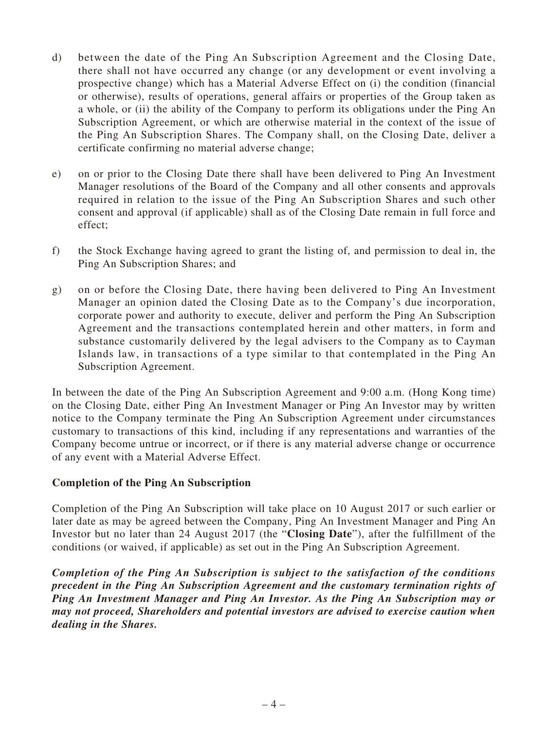- d) between the date of the Ping An Subscription Agreement and the Closing Date, there shall not have occurred any change (or any development or event involving a prospective change) which has a Material Adverse Effect on (i) the condition (financial or otherwise), results of operations, general affairs or properties of the Group taken as a whole, or (ii) the ability of the Company to perform its obligations under the Ping An Subscription Agreement, or which are otherwise material in the context of the issue of the Ping An Subscription Shares. The Company shall, on the Closing Date, deliver a certificate confirming no material adverse change;
- e) on or prior to the Closing Date there shall have been delivered to Ping An Investment Manager resolutions of the Board of the Company and all other consents and approvals required in relation to the issue of the Ping An Subscription Shares and such other consent and approval (if applicable) shall as of the Closing Date remain in full force and effect;
- f) the Stock Exchange having agreed to grant the listing of, and permission to deal in, the Ping An Subscription Shares; and
- g) on or before the Closing Date, there having been delivered to Ping An Investment Manager an opinion dated the Closing Date as to the Company's due incorporation, corporate power and authority to execute, deliver and perform the Ping An Subscription Agreement and the transactions contemplated herein and other matters, in form and substance customarily delivered by the legal advisers to the Company as to Cayman Islands law, in transactions of a type similar to that contemplated in the Ping An Subscription Agreement.

In between the date of the Ping An Subscription Agreement and 9:00 a.m. (Hong Kong time) on the Closing Date, either Ping An Investment Manager or Ping An Investor may by written notice to the Company terminate the Ping An Subscription Agreement under circumstances customary to transactions of this kind, including if any representations and warranties of the Company become untrue or incorrect, or if there is any material adverse change or occurrence of any event with a Material Adverse Effect.

# **Completion of the Ping An Subscription**

Completion of the Ping An Subscription will take place on 10 August 2017 or such earlier or later date as may be agreed between the Company, Ping An Investment Manager and Ping An Investor but no later than 24 August 2017 (the "**Closing Date**"), after the fulfillment of the conditions (or waived, if applicable) as set out in the Ping An Subscription Agreement.

*Completion of the Ping An Subscription is subject to the satisfaction of the conditions precedent in the Ping An Subscription Agreement and the customary termination rights of Ping An Investment Manager and Ping An Investor. As the Ping An Subscription may or may not proceed, Shareholders and potential investors are advised to exercise caution when dealing in the Shares.*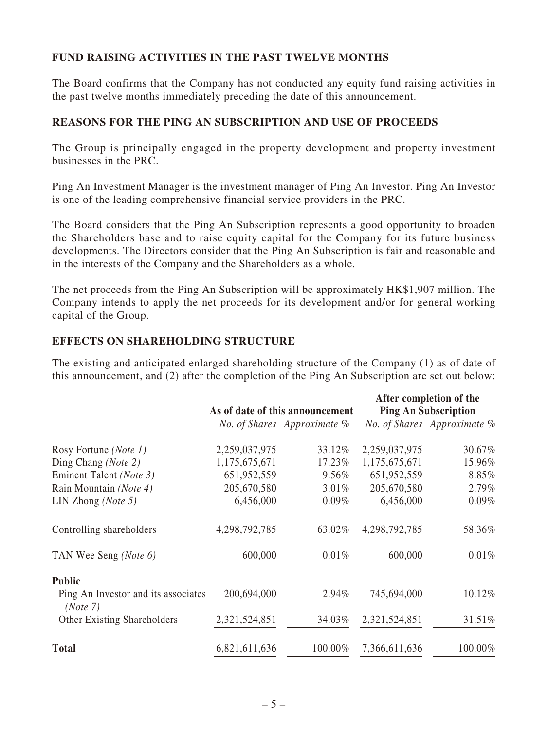# **FUND RAISING ACTIVITIES IN THE PAST TWELVE MONTHS**

The Board confirms that the Company has not conducted any equity fund raising activities in the past twelve months immediately preceding the date of this announcement.

#### **REASONS FOR THE PING AN SUBSCRIPTION AND USE OF PROCEEDS**

The Group is principally engaged in the property development and property investment businesses in the PRC.

Ping An Investment Manager is the investment manager of Ping An Investor. Ping An Investor is one of the leading comprehensive financial service providers in the PRC.

The Board considers that the Ping An Subscription represents a good opportunity to broaden the Shareholders base and to raise equity capital for the Company for its future business developments. The Directors consider that the Ping An Subscription is fair and reasonable and in the interests of the Company and the Shareholders as a whole.

The net proceeds from the Ping An Subscription will be approximately HK\$1,907 million. The Company intends to apply the net proceeds for its development and/or for general working capital of the Group.

#### **EFFECTS ON SHAREHOLDING STRUCTURE**

The existing and anticipated enlarged shareholding structure of the Company (1) as of date of this announcement, and (2) after the completion of the Ping An Subscription are set out below:

|                                                 | As of date of this announcement |                             | After completion of the<br><b>Ping An Subscription</b> |                             |
|-------------------------------------------------|---------------------------------|-----------------------------|--------------------------------------------------------|-----------------------------|
|                                                 |                                 | No. of Shares Approximate % |                                                        | No. of Shares Approximate % |
| Rosy Fortune ( <i>Note 1</i> )                  | 2,259,037,975                   | 33.12%                      | 2,259,037,975                                          | 30.67%                      |
| Ding Chang (Note 2)                             | 1,175,675,671                   | 17.23%                      | 1,175,675,671                                          | 15.96%                      |
| Eminent Talent (Note 3)                         | 651,952,559                     | 9.56%                       | 651,952,559                                            | 8.85%                       |
| Rain Mountain (Note 4)                          | 205,670,580                     | 3.01%                       | 205,670,580                                            | 2.79%                       |
| LIN Zhong ( <i>Note</i> 5)                      | 6,456,000                       | $0.09\%$                    | 6,456,000                                              | $0.09\%$                    |
| Controlling shareholders                        | 4,298,792,785                   | 63.02%                      | 4,298,792,785                                          | 58.36%                      |
| TAN Wee Seng (Note 6)                           | 600,000                         | 0.01%                       | 600,000                                                | 0.01%                       |
| <b>Public</b>                                   |                                 |                             |                                                        |                             |
| Ping An Investor and its associates<br>(Note 7) | 200,694,000                     | 2.94%                       | 745,694,000                                            | 10.12%                      |
| <b>Other Existing Shareholders</b>              | 2,321,524,851                   | 34.03%                      | 2,321,524,851                                          | 31.51%                      |
| <b>Total</b>                                    | 6,821,611,636                   | 100.00%                     | 7,366,611,636                                          | 100.00%                     |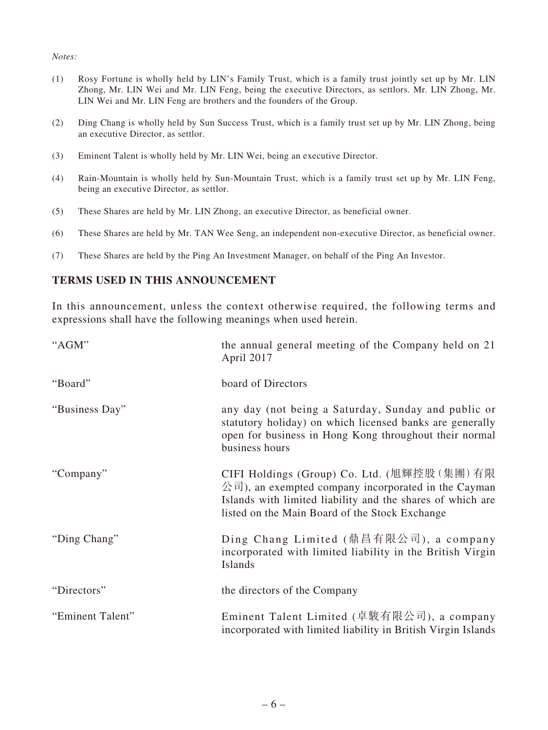#### *Notes:*

- (1) Rosy Fortune is wholly held by LIN's Family Trust, which is a family trust jointly set up by Mr. LIN Zhong, Mr. LIN Wei and Mr. LIN Feng, being the executive Directors, as settlors. Mr. LIN Zhong, Mr. LIN Wei and Mr. LIN Feng are brothers and the founders of the Group.
- (2) Ding Chang is wholly held by Sun Success Trust, which is a family trust set up by Mr. LIN Zhong, being an executive Director, as settlor.
- (3) Eminent Talent is wholly held by Mr. LIN Wei, being an executive Director.
- (4) Rain-Mountain is wholly held by Sun-Mountain Trust, which is a family trust set up by Mr. LIN Feng, being an executive Director, as settlor.
- (5) These Shares are held by Mr. LIN Zhong, an executive Director, as beneficial owner.
- (6) These Shares are held by Mr. TAN Wee Seng, an independent non-executive Director, as beneficial owner.
- (7) These Shares are held by the Ping An Investment Manager, on behalf of the Ping An Investor.

#### **TERMS USED IN THIS ANNOUNCEMENT**

In this announcement, unless the context otherwise required, the following terms and expressions shall have the following meanings when used herein.

| "AGM"            | the annual general meeting of the Company held on 21<br>April 2017                                                                                                                                                |
|------------------|-------------------------------------------------------------------------------------------------------------------------------------------------------------------------------------------------------------------|
| "Board"          | board of Directors                                                                                                                                                                                                |
| "Business Day"   | any day (not being a Saturday, Sunday and public or<br>statutory holiday) on which licensed banks are generally<br>open for business in Hong Kong throughout their normal<br>business hours                       |
| "Company"        | CIFI Holdings (Group) Co. Ltd. (旭輝控股(集團)有限<br>公司), an exempted company incorporated in the Cayman<br>Islands with limited liability and the shares of which are<br>listed on the Main Board of the Stock Exchange |
| "Ding Chang"     | Ding Chang Limited (鼎昌有限公司), a company<br>incorporated with limited liability in the British Virgin<br>Islands                                                                                                    |
| "Directors"      | the directors of the Company                                                                                                                                                                                      |
| "Eminent Talent" | Eminent Talent Limited (卓駿有限公司), a company<br>incorporated with limited liability in British Virgin Islands                                                                                                       |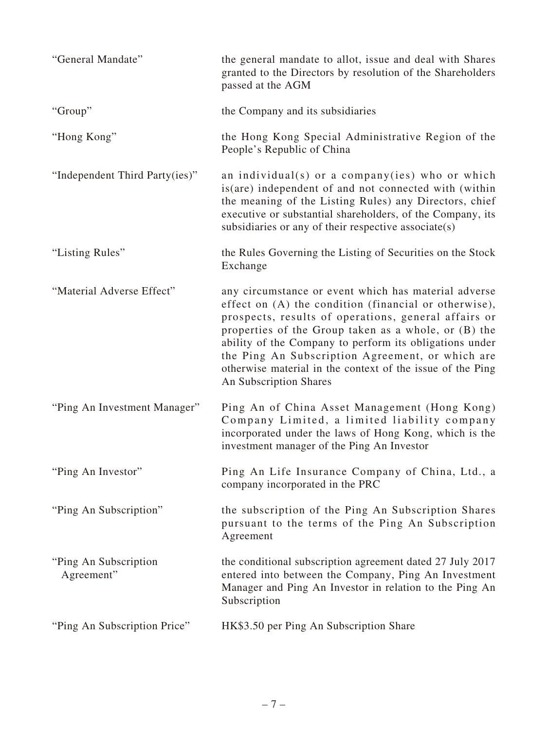| "General Mandate"                    | the general mandate to allot, issue and deal with Shares<br>granted to the Directors by resolution of the Shareholders<br>passed at the AGM                                                                                                                                                                                                                                                                                          |
|--------------------------------------|--------------------------------------------------------------------------------------------------------------------------------------------------------------------------------------------------------------------------------------------------------------------------------------------------------------------------------------------------------------------------------------------------------------------------------------|
| "Group"                              | the Company and its subsidiaries                                                                                                                                                                                                                                                                                                                                                                                                     |
| "Hong Kong"                          | the Hong Kong Special Administrative Region of the<br>People's Republic of China                                                                                                                                                                                                                                                                                                                                                     |
| "Independent Third Party(ies)"       | an individual(s) or a company(ies) who or which<br>is (are) independent of and not connected with (within<br>the meaning of the Listing Rules) any Directors, chief<br>executive or substantial shareholders, of the Company, its<br>subsidiaries or any of their respective associate $(s)$                                                                                                                                         |
| "Listing Rules"                      | the Rules Governing the Listing of Securities on the Stock<br>Exchange                                                                                                                                                                                                                                                                                                                                                               |
| "Material Adverse Effect"            | any circumstance or event which has material adverse<br>effect on (A) the condition (financial or otherwise),<br>prospects, results of operations, general affairs or<br>properties of the Group taken as a whole, or (B) the<br>ability of the Company to perform its obligations under<br>the Ping An Subscription Agreement, or which are<br>otherwise material in the context of the issue of the Ping<br>An Subscription Shares |
| "Ping An Investment Manager"         | Ping An of China Asset Management (Hong Kong)<br>Company Limited, a limited liability company<br>incorporated under the laws of Hong Kong, which is the<br>investment manager of the Ping An Investor                                                                                                                                                                                                                                |
| "Ping An Investor"                   | Ping An Life Insurance Company of China, Ltd., a<br>company incorporated in the PRC                                                                                                                                                                                                                                                                                                                                                  |
| "Ping An Subscription"               | the subscription of the Ping An Subscription Shares<br>pursuant to the terms of the Ping An Subscription<br>Agreement                                                                                                                                                                                                                                                                                                                |
| "Ping An Subscription"<br>Agreement" | the conditional subscription agreement dated 27 July 2017<br>entered into between the Company, Ping An Investment<br>Manager and Ping An Investor in relation to the Ping An<br>Subscription                                                                                                                                                                                                                                         |
| "Ping An Subscription Price"         | HK\$3.50 per Ping An Subscription Share                                                                                                                                                                                                                                                                                                                                                                                              |